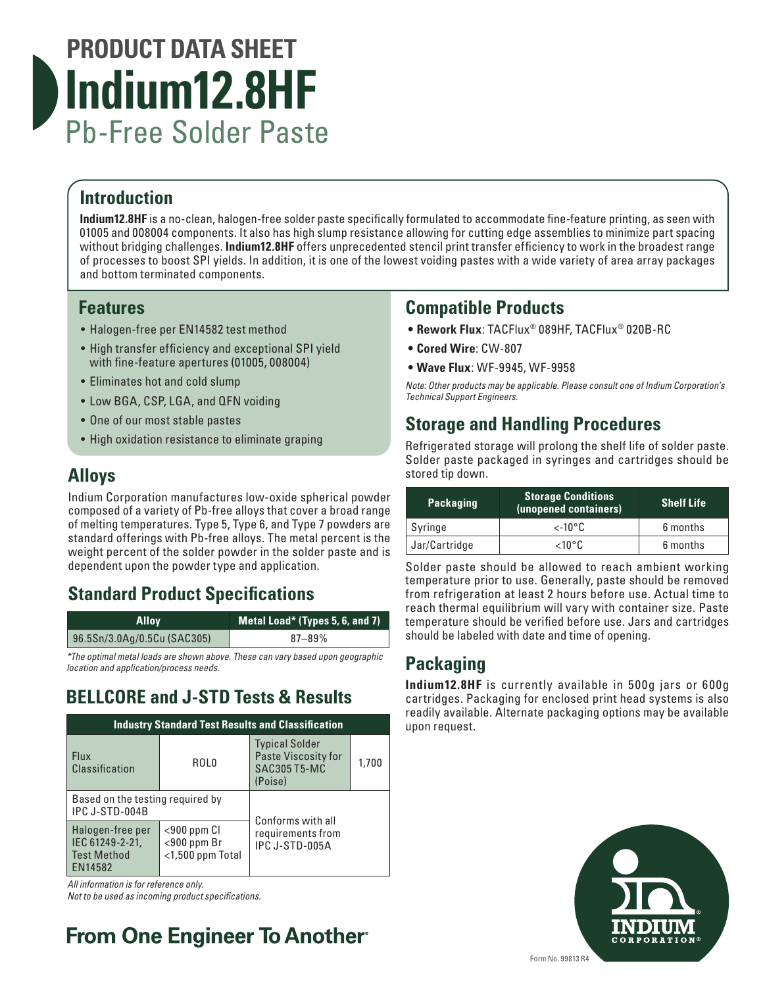

#### **Introduction**

**Indium12.8HF** is a no-clean, halogen-free solder paste specifically formulated to accommodate fine-feature printing, as seen with 01005 and 008004 components. It also has high slump resistance allowing for cutting edge assemblies to minimize part spacing without bridging challenges. **Indium12.8HF** offers unprecedented stencil print transfer efficiency to work in the broadest range of processes to boost SPI yields. In addition, it is one of the lowest voiding pastes with a wide variety of area array packages and bottom terminated components.

#### **Features**

- Halogen-free per EN14582 test method
- High transfer efficiency and exceptional SPI yield with fine-feature apertures (01005, 008004)
- Eliminates hot and cold slump
- Low BGA, CSP, LGA, and QFN voiding
- One of our most stable pastes
- High oxidation resistance to eliminate graping

#### **Alloys**

Indium Corporation manufactures low-oxide spherical powder composed of a variety of Pb-free alloys that cover a broad range of melting temperatures. Type 5, Type 6, and Type 7 powders are standard offerings with Pb-free alloys. The metal percent is the weight percent of the solder powder in the solder paste and is dependent upon the powder type and application.

### **Standard Product Specifications**

| <b>Allov</b>                | Metal Load* (Types 5, 6, and 7) |
|-----------------------------|---------------------------------|
| 96.5Sn/3.0Ag/0.5Cu (SAC305) | $87 - 89%$                      |

*\*The optimal metal loads are shown above. These can vary based upon geographic location and application/process needs.*

## **BELLCORE and J-STD Tests & Results**

| <b>Industry Standard Test Results and Classification</b>             |                                                         |                                                                                |       |  |  |
|----------------------------------------------------------------------|---------------------------------------------------------|--------------------------------------------------------------------------------|-------|--|--|
| <b>Flux</b><br>Classification                                        | ROL <sub>0</sub>                                        | <b>Typical Solder</b><br>Paste Viscosity for<br><b>SAC305 T5-MC</b><br>(Poise) | 1,700 |  |  |
| Based on the testing required by<br>IPC J-STD-004B                   |                                                         | Conforms with all                                                              |       |  |  |
| Halogen-free per<br>IEC 61249-2-21,<br><b>Test Method</b><br>EN14582 | $<$ 900 ppm Cl<br>$<$ 900 ppm Br<br>$<$ 1,500 ppm Total | requirements from<br>IPC J-STD-005A                                            |       |  |  |

*All information is for reference only.* 

*Not to be used as incoming product specifications.*

## **From One Engineer To Another**®

#### **Compatible Products**

- **• Rework Flux**: TACFlux® 089HF, TACFlux® 020B-RC
- **• Cored Wire**: CW-807
- **• Wave Flux**: WF-9945, WF-9958

*Note: Other products may be applicable. Please consult one of Indium Corporation's Technical Support Engineers.*

#### **Storage and Handling Procedures**

Refrigerated storage will prolong the shelf life of solder paste. Solder paste packaged in syringes and cartridges should be stored tip down.

| <b>Packaging</b> | <b>Storage Conditions</b><br>(unopened containers) | <b>Shelf Life</b> |
|------------------|----------------------------------------------------|-------------------|
| Syringe          | $\lt$ -10°C                                        | 6 months          |
| Jar/Cartridge    | $<$ 10°C                                           | 6 months          |

Solder paste should be allowed to reach ambient working temperature prior to use. Generally, paste should be removed from refrigeration at least 2 hours before use. Actual time to reach thermal equilibrium will vary with container size. Paste temperature should be verified before use. Jars and cartridges should be labeled with date and time of opening.

### **Packaging**

**Indium12.8HF** is currently available in 500g jars or 600g cartridges. Packaging for enclosed print head systems is also readily available. Alternate packaging options may be available upon request.